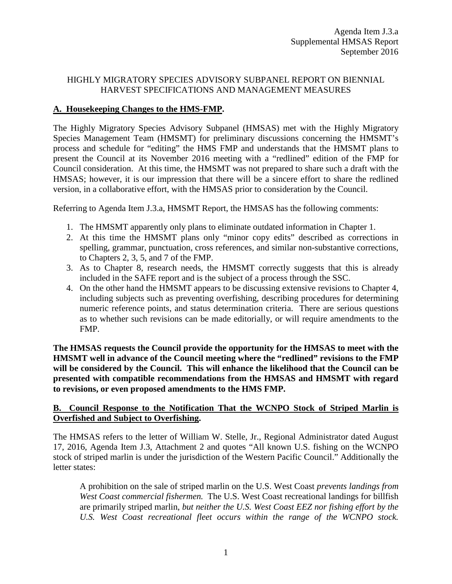## HIGHLY MIGRATORY SPECIES ADVISORY SUBPANEL REPORT ON BIENNIAL HARVEST SPECIFICATIONS AND MANAGEMENT MEASURES

# **A. Housekeeping Changes to the HMS-FMP.**

The Highly Migratory Species Advisory Subpanel (HMSAS) met with the Highly Migratory Species Management Team (HMSMT) for preliminary discussions concerning the HMSMT's process and schedule for "editing" the HMS FMP and understands that the HMSMT plans to present the Council at its November 2016 meeting with a "redlined" edition of the FMP for Council consideration. At this time, the HMSMT was not prepared to share such a draft with the HMSAS; however, it is our impression that there will be a sincere effort to share the redlined version, in a collaborative effort, with the HMSAS prior to consideration by the Council.

Referring to Agenda Item J.3.a, HMSMT Report, the HMSAS has the following comments:

- 1. The HMSMT apparently only plans to eliminate outdated information in Chapter 1.
- 2. At this time the HMSMT plans only "minor copy edits" described as corrections in spelling, grammar, punctuation, cross references, and similar non-substantive corrections, to Chapters 2, 3, 5, and 7 of the FMP.
- 3. As to Chapter 8, research needs, the HMSMT correctly suggests that this is already included in the SAFE report and is the subject of a process through the SSC.
- 4. On the other hand the HMSMT appears to be discussing extensive revisions to Chapter 4, including subjects such as preventing overfishing, describing procedures for determining numeric reference points, and status determination criteria. There are serious questions as to whether such revisions can be made editorially, or will require amendments to the FMP.

**The HMSAS requests the Council provide the opportunity for the HMSAS to meet with the HMSMT well in advance of the Council meeting where the "redlined" revisions to the FMP will be considered by the Council. This will enhance the likelihood that the Council can be presented with compatible recommendations from the HMSAS and HMSMT with regard to revisions, or even proposed amendments to the HMS FMP.**

## **B. Council Response to the Notification That the WCNPO Stock of Striped Marlin is Overfished and Subject to Overfishing.**

The HMSAS refers to the letter of William W. Stelle, Jr., Regional Administrator dated August 17, 2016, Agenda Item J.3, Attachment 2 and quotes "All known U.S. fishing on the WCNPO stock of striped marlin is under the jurisdiction of the Western Pacific Council." Additionally the letter states:

A prohibition on the sale of striped marlin on the U.S. West Coast *prevents landings from West Coast commercial fishermen.* The U.S. West Coast recreational landings for billfish are primarily striped marlin, *but neither the U.S. West Coast EEZ nor fishing effort by the U.S. West Coast recreational fleet occurs within the range of the WCNPO stock.*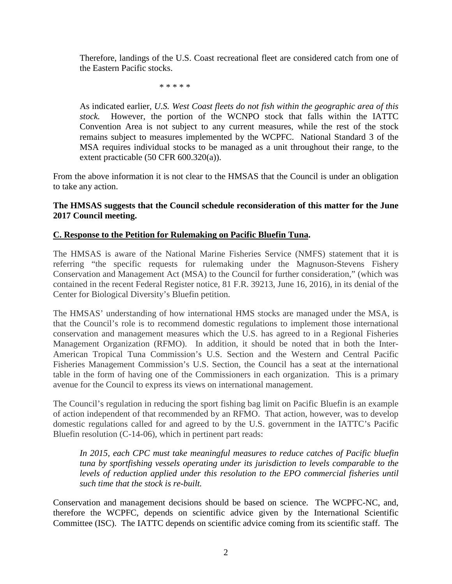Therefore, landings of the U.S. Coast recreational fleet are considered catch from one of the Eastern Pacific stocks.

\* \* \* \* \*

As indicated earlier*, U.S. West Coast fleets do not fish within the geographic area of this stock.* However, the portion of the WCNPO stock that falls within the IATTC Convention Area is not subject to any current measures, while the rest of the stock remains subject to measures implemented by the WCPFC. National Standard 3 of the MSA requires individual stocks to be managed as a unit throughout their range, to the extent practicable (50 CFR 600.320(a)).

From the above information it is not clear to the HMSAS that the Council is under an obligation to take any action.

## **The HMSAS suggests that the Council schedule reconsideration of this matter for the June 2017 Council meeting.**

## **C. Response to the Petition for Rulemaking on Pacific Bluefin Tuna.**

The HMSAS is aware of the National Marine Fisheries Service (NMFS) statement that it is referring "the specific requests for rulemaking under the Magnuson-Stevens Fishery Conservation and Management Act (MSA) to the Council for further consideration," (which was contained in the recent Federal Register notice, 81 F.R. 39213, June 16, 2016), in its denial of the Center for Biological Diversity's Bluefin petition.

The HMSAS' understanding of how international HMS stocks are managed under the MSA, is that the Council's role is to recommend domestic regulations to implement those international conservation and management measures which the U.S. has agreed to in a Regional Fisheries Management Organization (RFMO). In addition, it should be noted that in both the Inter-American Tropical Tuna Commission's U.S. Section and the Western and Central Pacific Fisheries Management Commission's U.S. Section, the Council has a seat at the international table in the form of having one of the Commissioners in each organization. This is a primary avenue for the Council to express its views on international management.

The Council's regulation in reducing the sport fishing bag limit on Pacific Bluefin is an example of action independent of that recommended by an RFMO. That action, however, was to develop domestic regulations called for and agreed to by the U.S. government in the IATTC's Pacific Bluefin resolution (C-14-06), which in pertinent part reads:

In 2015, each CPC must take meaningful measures to reduce catches of Pacific bluefin *tuna by sportfishing vessels operating under its jurisdiction to levels comparable to the levels of reduction applied under this resolution to the EPO commercial fisheries until such time that the stock is re-built.* 

Conservation and management decisions should be based on science. The WCPFC-NC, and, therefore the WCPFC, depends on scientific advice given by the International Scientific Committee (ISC). The IATTC depends on scientific advice coming from its scientific staff. The